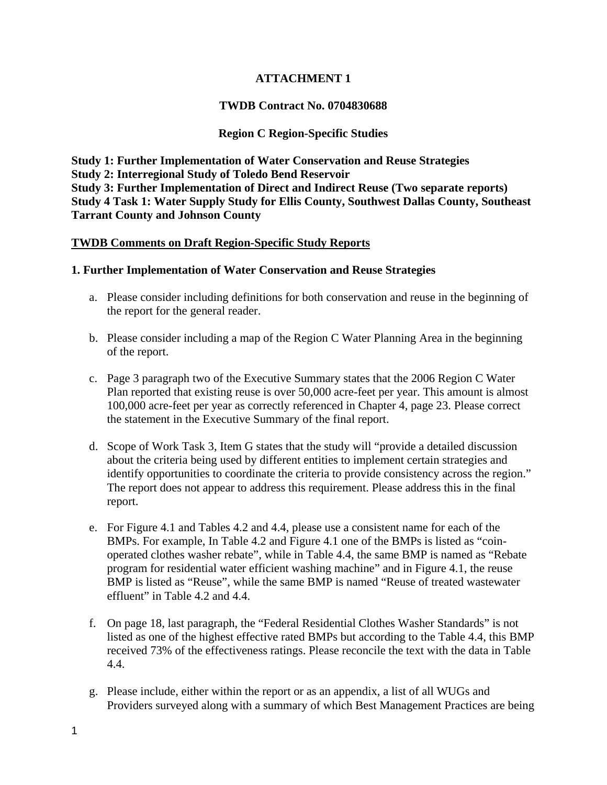# **ATTACHMENT 1**

### **TWDB Contract No. 0704830688**

### **Region C Region-Specific Studies**

**Study 1: Further Implementation of Water Conservation and Reuse Strategies Study 2: Interregional Study of Toledo Bend Reservoir Study 3: Further Implementation of Direct and Indirect Reuse (Two separate reports) Study 4 Task 1: Water Supply Study for Ellis County, Southwest Dallas County, Southeast Tarrant County and Johnson County** 

#### **TWDB Comments on Draft Region-Specific Study Reports**

#### **1. Further Implementation of Water Conservation and Reuse Strategies**

- a. Please consider including definitions for both conservation and reuse in the beginning of the report for the general reader.
- b. Please consider including a map of the Region C Water Planning Area in the beginning of the report.
- c. Page 3 paragraph two of the Executive Summary states that the 2006 Region C Water Plan reported that existing reuse is over 50,000 acre-feet per year. This amount is almost 100,000 acre-feet per year as correctly referenced in Chapter 4, page 23. Please correct the statement in the Executive Summary of the final report.
- d. Scope of Work Task 3, Item G states that the study will "provide a detailed discussion about the criteria being used by different entities to implement certain strategies and identify opportunities to coordinate the criteria to provide consistency across the region." The report does not appear to address this requirement. Please address this in the final report.
- e. For Figure 4.1 and Tables 4.2 and 4.4, please use a consistent name for each of the BMPs. For example, In Table 4.2 and Figure 4.1 one of the BMPs is listed as "coinoperated clothes washer rebate", while in Table 4.4, the same BMP is named as "Rebate program for residential water efficient washing machine" and in Figure 4.1, the reuse BMP is listed as "Reuse", while the same BMP is named "Reuse of treated wastewater effluent" in Table 4.2 and 4.4.
- f. On page 18, last paragraph, the "Federal Residential Clothes Washer Standards" is not listed as one of the highest effective rated BMPs but according to the Table 4.4, this BMP received 73% of the effectiveness ratings. Please reconcile the text with the data in Table 4.4.
- g. Please include, either within the report or as an appendix, a list of all WUGs and Providers surveyed along with a summary of which Best Management Practices are being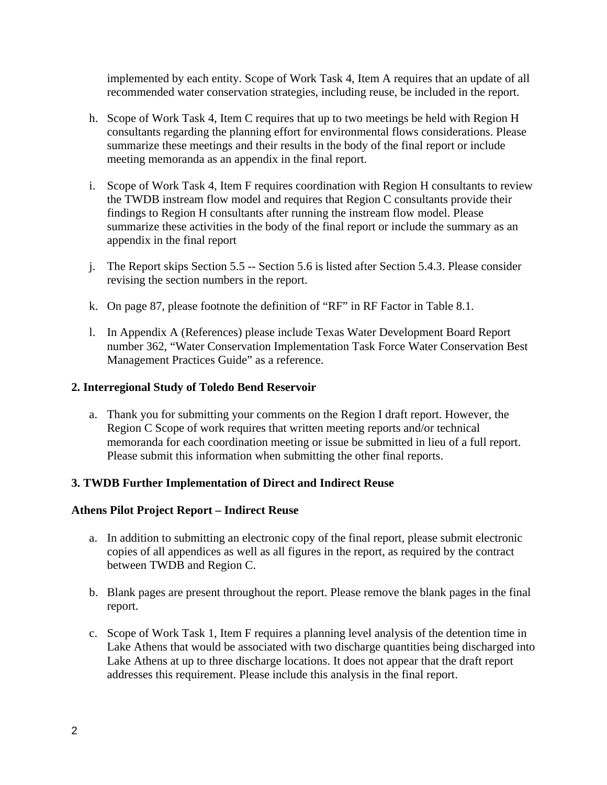implemented by each entity. Scope of Work Task 4, Item A requires that an update of all recommended water conservation strategies, including reuse, be included in the report.

- h. Scope of Work Task 4, Item C requires that up to two meetings be held with Region H consultants regarding the planning effort for environmental flows considerations. Please summarize these meetings and their results in the body of the final report or include meeting memoranda as an appendix in the final report.
- i. Scope of Work Task 4, Item F requires coordination with Region H consultants to review the TWDB instream flow model and requires that Region C consultants provide their findings to Region H consultants after running the instream flow model. Please summarize these activities in the body of the final report or include the summary as an appendix in the final report
- j. The Report skips Section 5.5 -- Section 5.6 is listed after Section 5.4.3. Please consider revising the section numbers in the report.
- k. On page 87, please footnote the definition of "RF" in RF Factor in Table 8.1.
- l. In Appendix A (References) please include Texas Water Development Board Report number 362, "Water Conservation Implementation Task Force Water Conservation Best Management Practices Guide" as a reference.

#### **2. Interregional Study of Toledo Bend Reservoir**

a. Thank you for submitting your comments on the Region I draft report. However, the Region C Scope of work requires that written meeting reports and/or technical memoranda for each coordination meeting or issue be submitted in lieu of a full report. Please submit this information when submitting the other final reports.

#### **3. TWDB Further Implementation of Direct and Indirect Reuse**

#### **Athens Pilot Project Report – Indirect Reuse**

- a. In addition to submitting an electronic copy of the final report, please submit electronic copies of all appendices as well as all figures in the report, as required by the contract between TWDB and Region C.
- b. Blank pages are present throughout the report. Please remove the blank pages in the final report.
- c. Scope of Work Task 1, Item F requires a planning level analysis of the detention time in Lake Athens that would be associated with two discharge quantities being discharged into Lake Athens at up to three discharge locations. It does not appear that the draft report addresses this requirement. Please include this analysis in the final report.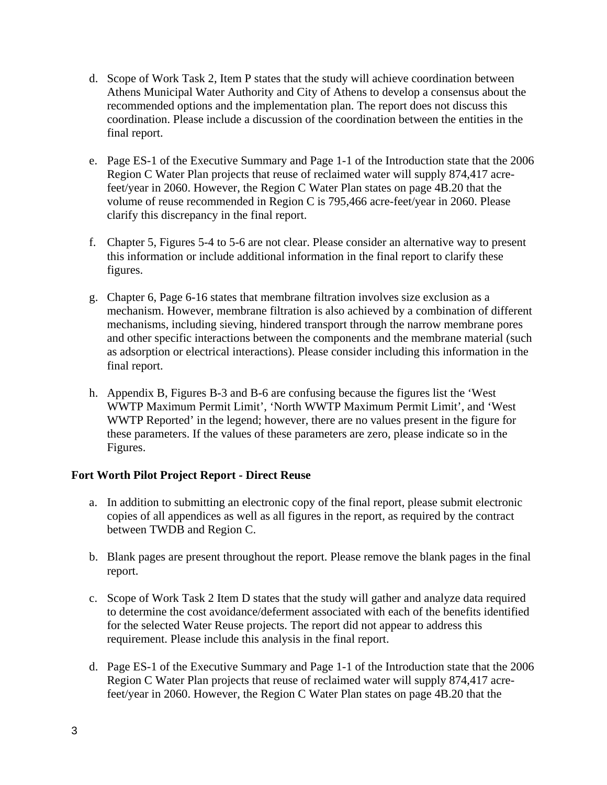- d. Scope of Work Task 2, Item P states that the study will achieve coordination between Athens Municipal Water Authority and City of Athens to develop a consensus about the recommended options and the implementation plan. The report does not discuss this coordination. Please include a discussion of the coordination between the entities in the final report.
- e. Page ES-1 of the Executive Summary and Page 1-1 of the Introduction state that the 2006 Region C Water Plan projects that reuse of reclaimed water will supply 874,417 acrefeet/year in 2060. However, the Region C Water Plan states on page 4B.20 that the volume of reuse recommended in Region C is 795,466 acre-feet/year in 2060. Please clarify this discrepancy in the final report.
- f. Chapter 5, Figures 5-4 to 5-6 are not clear. Please consider an alternative way to present this information or include additional information in the final report to clarify these figures.
- g. Chapter 6, Page 6-16 states that membrane filtration involves size exclusion as a mechanism. However, membrane filtration is also achieved by a combination of different mechanisms, including sieving, hindered transport through the narrow membrane pores and other specific interactions between the components and the membrane material (such as adsorption or electrical interactions). Please consider including this information in the final report.
- h. Appendix B, Figures B-3 and B-6 are confusing because the figures list the 'West WWTP Maximum Permit Limit', 'North WWTP Maximum Permit Limit', and 'West WWTP Reported' in the legend; however, there are no values present in the figure for these parameters. If the values of these parameters are zero, please indicate so in the Figures.

## **Fort Worth Pilot Project Report - Direct Reuse**

- a. In addition to submitting an electronic copy of the final report, please submit electronic copies of all appendices as well as all figures in the report, as required by the contract between TWDB and Region C.
- b. Blank pages are present throughout the report. Please remove the blank pages in the final report.
- c. Scope of Work Task 2 Item D states that the study will gather and analyze data required to determine the cost avoidance/deferment associated with each of the benefits identified for the selected Water Reuse projects. The report did not appear to address this requirement. Please include this analysis in the final report.
- d. Page ES-1 of the Executive Summary and Page 1-1 of the Introduction state that the 2006 Region C Water Plan projects that reuse of reclaimed water will supply 874,417 acrefeet/year in 2060. However, the Region C Water Plan states on page 4B.20 that the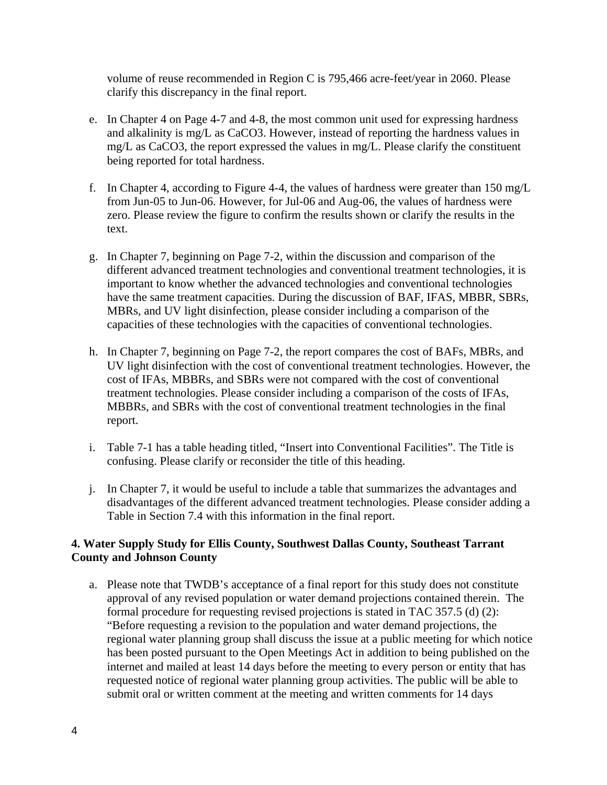volume of reuse recommended in Region C is 795,466 acre-feet/year in 2060. Please clarify this discrepancy in the final report.

- e. In Chapter 4 on Page 4-7 and 4-8, the most common unit used for expressing hardness and alkalinity is mg/L as CaCO3. However, instead of reporting the hardness values in mg/L as CaCO3, the report expressed the values in mg/L. Please clarify the constituent being reported for total hardness.
- f. In Chapter 4, according to Figure 4-4, the values of hardness were greater than 150 mg/L from Jun-05 to Jun-06. However, for Jul-06 and Aug-06, the values of hardness were zero. Please review the figure to confirm the results shown or clarify the results in the text.
- g. In Chapter 7, beginning on Page 7-2, within the discussion and comparison of the different advanced treatment technologies and conventional treatment technologies, it is important to know whether the advanced technologies and conventional technologies have the same treatment capacities. During the discussion of BAF, IFAS, MBBR, SBRs, MBRs, and UV light disinfection, please consider including a comparison of the capacities of these technologies with the capacities of conventional technologies.
- h. In Chapter 7, beginning on Page 7-2, the report compares the cost of BAFs, MBRs, and UV light disinfection with the cost of conventional treatment technologies. However, the cost of IFAs, MBBRs, and SBRs were not compared with the cost of conventional treatment technologies. Please consider including a comparison of the costs of IFAs, MBBRs, and SBRs with the cost of conventional treatment technologies in the final report.
- i. Table 7-1 has a table heading titled, "Insert into Conventional Facilities". The Title is confusing. Please clarify or reconsider the title of this heading.
- j. In Chapter 7, it would be useful to include a table that summarizes the advantages and disadvantages of the different advanced treatment technologies. Please consider adding a Table in Section 7.4 with this information in the final report.

## **4. Water Supply Study for Ellis County, Southwest Dallas County, Southeast Tarrant County and Johnson County**

a. Please note that TWDB's acceptance of a final report for this study does not constitute approval of any revised population or water demand projections contained therein. The formal procedure for requesting revised projections is stated in TAC 357.5 (d) (2): "Before requesting a revision to the population and water demand projections, the regional water planning group shall discuss the issue at a public meeting for which notice has been posted pursuant to the Open Meetings Act in addition to being published on the internet and mailed at least 14 days before the meeting to every person or entity that has requested notice of regional water planning group activities. The public will be able to submit oral or written comment at the meeting and written comments for 14 days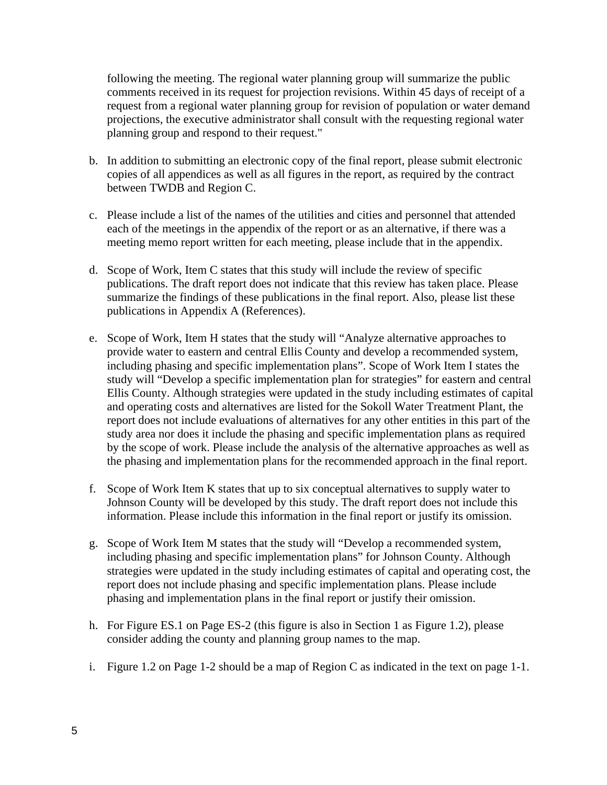following the meeting. The regional water planning group will summarize the public comments received in its request for projection revisions. Within 45 days of receipt of a request from a regional water planning group for revision of population or water demand projections, the executive administrator shall consult with the requesting regional water planning group and respond to their request."

- b. In addition to submitting an electronic copy of the final report, please submit electronic copies of all appendices as well as all figures in the report, as required by the contract between TWDB and Region C.
- c. Please include a list of the names of the utilities and cities and personnel that attended each of the meetings in the appendix of the report or as an alternative, if there was a meeting memo report written for each meeting, please include that in the appendix.
- d. Scope of Work, Item C states that this study will include the review of specific publications. The draft report does not indicate that this review has taken place. Please summarize the findings of these publications in the final report. Also, please list these publications in Appendix A (References).
- e. Scope of Work, Item H states that the study will "Analyze alternative approaches to provide water to eastern and central Ellis County and develop a recommended system, including phasing and specific implementation plans". Scope of Work Item I states the study will "Develop a specific implementation plan for strategies" for eastern and central Ellis County. Although strategies were updated in the study including estimates of capital and operating costs and alternatives are listed for the Sokoll Water Treatment Plant, the report does not include evaluations of alternatives for any other entities in this part of the study area nor does it include the phasing and specific implementation plans as required by the scope of work. Please include the analysis of the alternative approaches as well as the phasing and implementation plans for the recommended approach in the final report.
- f. Scope of Work Item K states that up to six conceptual alternatives to supply water to Johnson County will be developed by this study. The draft report does not include this information. Please include this information in the final report or justify its omission.
- g. Scope of Work Item M states that the study will "Develop a recommended system, including phasing and specific implementation plans" for Johnson County. Although strategies were updated in the study including estimates of capital and operating cost, the report does not include phasing and specific implementation plans. Please include phasing and implementation plans in the final report or justify their omission.
- h. For Figure ES.1 on Page ES-2 (this figure is also in Section 1 as Figure 1.2), please consider adding the county and planning group names to the map.
- i. Figure 1.2 on Page 1-2 should be a map of Region C as indicated in the text on page 1-1.